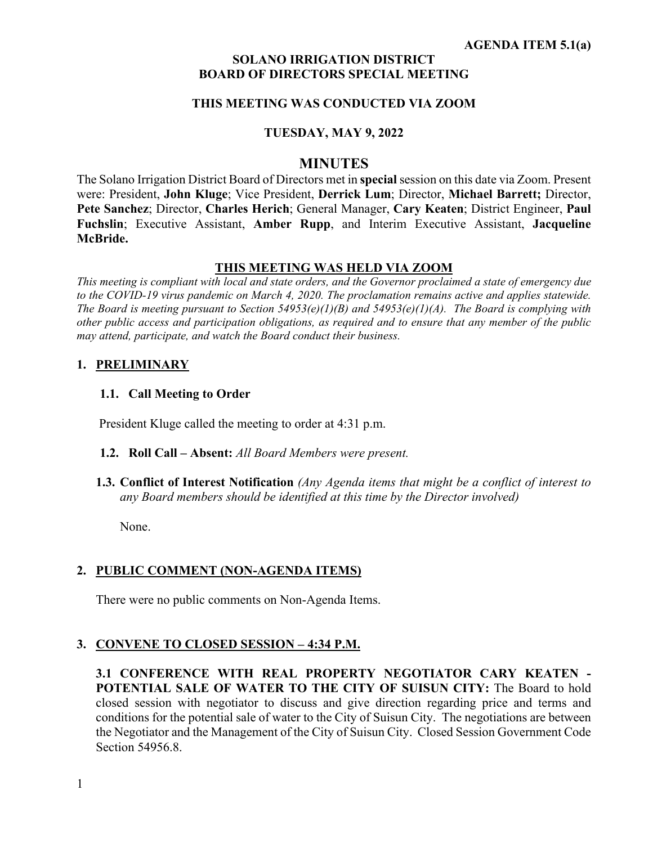### **SOLANO IRRIGATION DISTRICT BOARD OF DIRECTORS SPECIAL MEETING**

# **THIS MEETING WAS CONDUCTED VIA ZOOM**

#### **TUESDAY, MAY 9, 2022**

# **MINUTES**

The Solano Irrigation District Board of Directors met in **special** session on this date via Zoom. Present were: President, **John Kluge**; Vice President, **Derrick Lum**; Director, **Michael Barrett;** Director, **Pete Sanchez**; Director, **Charles Herich**; General Manager, **Cary Keaten**; District Engineer, **Paul Fuchslin**; Executive Assistant, **Amber Rupp**, and Interim Executive Assistant, **Jacqueline McBride.** 

#### **THIS MEETING WAS HELD VIA ZOOM**

*This meeting is compliant with local and state orders, and the Governor proclaimed a state of emergency due to the COVID-19 virus pandemic on March 4, 2020. The proclamation remains active and applies statewide. The Board is meeting pursuant to Section 54953(e)(1)(B) and 54953(e)(1)(A). The Board is complying with other public access and participation obligations, as required and to ensure that any member of the public may attend, participate, and watch the Board conduct their business.* 

#### **1. PRELIMINARY**

#### **1.1. Call Meeting to Order**

President Kluge called the meeting to order at 4:31 p.m.

- **1.2. Roll Call Absent:** *All Board Members were present.*
- **1.3. Conflict of Interest Notification** *(Any Agenda items that might be a conflict of interest to any Board members should be identified at this time by the Director involved)*

None.

# **2. PUBLIC COMMENT (NON-AGENDA ITEMS)**

There were no public comments on Non-Agenda Items.

# **3. CONVENE TO CLOSED SESSION – 4:34 P.M.**

**3.1 CONFERENCE WITH REAL PROPERTY NEGOTIATOR CARY KEATEN - POTENTIAL SALE OF WATER TO THE CITY OF SUISUN CITY:** The Board to hold closed session with negotiator to discuss and give direction regarding price and terms and conditions for the potential sale of water to the City of Suisun City. The negotiations are between the Negotiator and the Management of the City of Suisun City. Closed Session Government Code Section 54956.8.